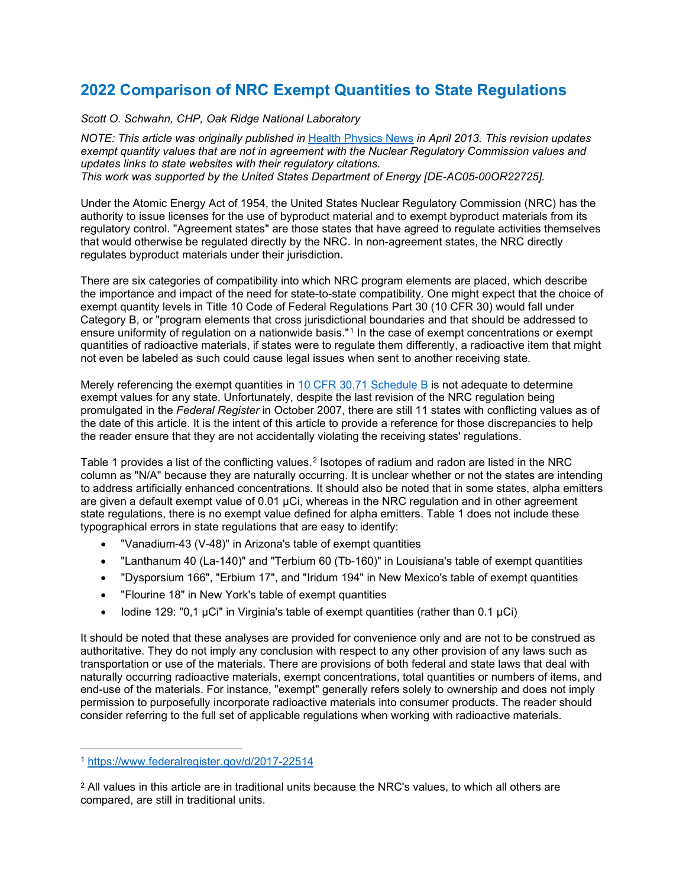## **2022 Comparison of NRC Exempt Quantities to State Regulations**

*Scott O. Schwahn, CHP, Oak Ridge National Laboratory*

*NOTE: This article was originally published in* Health [Physics](https://hps.org/membersonly/publications/newsletter/hpnewsvol41no04.pdf#page=27) News *in April 2013. This revision updates exempt quantity values that are not in agreement with the Nuclear Regulatory Commission values and updates links to state websites with their regulatory citations. This work was supported by the United States Department of Energy [DE-AC05-00OR22725].*

Under the Atomic Energy Act of 1954, the United States Nuclear Regulatory Commission (NRC) has the authority to issue licenses for the use of byproduct material and to exempt byproduct materials from its regulatory control. "Agreement states" are those states that have agreed to regulate activities themselves that would otherwise be regulated directly by the NRC. In non-agreement states, the NRC directly regulates byproduct materials under their jurisdiction.

There are six categories of compatibility into which NRC program elements are placed, which describe the importance and impact of the need for state-to-state compatibility. One might expect that the choice of exempt quantity levels in Title 10 Code of Federal Regulations Part 30 (10 CFR 30) would fall under Category B, or "program elements that cross jurisdictional boundaries and that should be addressed to ensure uniformity of regulation on a nationwide basis."<sup>[1](#page-0-0)</sup> In the case of exempt concentrations or exempt quantities of radioactive materials, if states were to regulate them differently, a radioactive item that might not even be labeled as such could cause legal issues when sent to another receiving state.

Merely referencing the exempt quantities in 10 CFR 30.71 [Schedule](http://www.nrc.gov/reading-rm/doc-collections/cfr/part030/part030-0071.html) B is not adequate to determine exempt values for any state. Unfortunately, despite the last revision of the NRC regulation being promulgated in the *Federal Register* in October 2007, there are still 11 states with conflicting values as of the date of this article. It is the intent of this article to provide a reference for those discrepancies to help the reader ensure that they are not accidentally violating the receiving states' regulations.

Table 1 provides a list of the conflicting values.<sup>[2](#page-0-1)</sup> Isotopes of radium and radon are listed in the NRC column as "N/A" because they are naturally occurring. It is unclear whether or not the states are intending to address artificially enhanced concentrations. It should also be noted that in some states, alpha emitters are given a default exempt value of 0.01 µCi, whereas in the NRC regulation and in other agreement state regulations, there is no exempt value defined for alpha emitters. Table 1 does not include these typographical errors in state regulations that are easy to identify:

- "Vanadium-43 (V-48)" in Arizona's table of exempt quantities
- "Lanthanum 40 (La-140)" and "Terbium 60 (Tb-160)" in Louisiana's table of exempt quantities
- "Dysporsium 166", "Erbium 17", and "Iridum 194" in New Mexico's table of exempt quantities
- "Flourine 18" in New York's table of exempt quantities
- Iodine 129: "0,1 µCi" in Virginia's table of exempt quantities (rather than 0.1 µCi)

It should be noted that these analyses are provided for convenience only and are not to be construed as authoritative. They do not imply any conclusion with respect to any other provision of any laws such as transportation or use of the materials. There are provisions of both federal and state laws that deal with naturally occurring radioactive materials, exempt concentrations, total quantities or numbers of items, and end-use of the materials. For instance, "exempt" generally refers solely to ownership and does not imply permission to purposefully incorporate radioactive materials into consumer products. The reader should consider referring to the full set of applicable regulations when working with radioactive materials.

<span id="page-0-0"></span><sup>1</sup> <https://www.federalregister.gov/d/2017-22514>

<span id="page-0-1"></span> $2$  All values in this article are in traditional units because the NRC's values, to which all others are compared, are still in traditional units.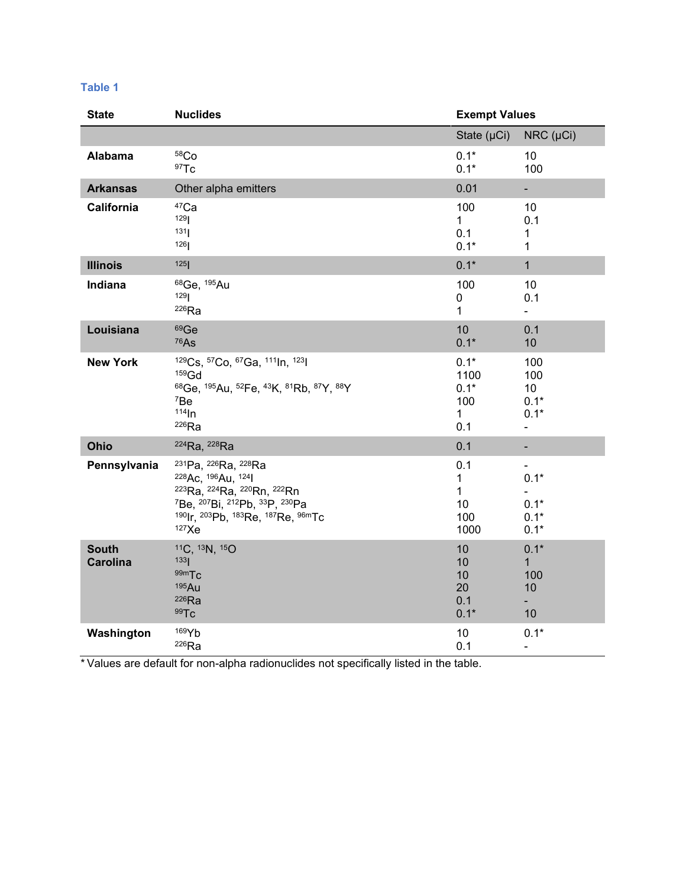| M. | . . | ۰.<br>. . |  |
|----|-----|-----------|--|

| <b>State</b>                    | <b>Nuclides</b>                                                                                                                                                                                                                                                          | <b>Exempt Values</b>                                   |                                                                     |
|---------------------------------|--------------------------------------------------------------------------------------------------------------------------------------------------------------------------------------------------------------------------------------------------------------------------|--------------------------------------------------------|---------------------------------------------------------------------|
|                                 |                                                                                                                                                                                                                                                                          | State $(\mu Ci)$                                       | $NRC$ ( $\mu$ Ci)                                                   |
| Alabama                         | 58 <sub>Co</sub><br>97T <sub>C</sub>                                                                                                                                                                                                                                     | $0.1*$<br>$0.1*$                                       | 10<br>100                                                           |
| <b>Arkansas</b>                 | Other alpha emitters                                                                                                                                                                                                                                                     | 0.01                                                   | ÷,                                                                  |
| California                      | <sup>47</sup> Ca<br>129<br>131<br>126                                                                                                                                                                                                                                    | 100<br>1<br>0.1<br>$0.1*$                              | 10<br>0.1<br>1<br>$\mathbf{1}$                                      |
| <b>Illinois</b>                 | 125                                                                                                                                                                                                                                                                      | $0.1*$                                                 | $\mathbf{1}$                                                        |
| Indiana                         | <sup>68</sup> Ge, <sup>195</sup> Au<br>129<br>$226$ Ra                                                                                                                                                                                                                   | 100<br>0<br>1                                          | 10<br>0.1<br>÷.                                                     |
| Louisiana                       | 69Ge<br><sup>76</sup> As                                                                                                                                                                                                                                                 | 10<br>$0.1*$                                           | 0.1<br>10                                                           |
| <b>New York</b>                 | 129Cs, 57Co, 67Ga, 111In, 1231<br>$159$ Gd<br>68Ge, 195Au, 52Fe, 43K, 81Rb, 87Y, 88Y<br>7Be<br>$114 \text{ln}$<br>$226$ Ra                                                                                                                                               | $0.1*$<br>1100<br>$0.1*$<br>100<br>$\mathbf{1}$<br>0.1 | 100<br>100<br>10 <sup>1</sup><br>$0.1*$<br>$0.1*$<br>$\blacksquare$ |
| Ohio                            | <sup>224</sup> Ra, <sup>228</sup> Ra                                                                                                                                                                                                                                     | 0.1                                                    | $\overline{\phantom{0}}$                                            |
| Pennsylvania                    | 231Pa, 226Ra, 228Ra<br>228 Ac, 196 Au, 124<br><sup>223</sup> Ra, <sup>224</sup> Ra, <sup>220</sup> Rn, <sup>222</sup> Rn<br><sup>7</sup> Be, <sup>207</sup> Bi, <sup>212</sup> Pb, <sup>33</sup> P, <sup>230</sup> Pa<br>190 Ir, 203 Pb, 183 Re, 187 Re, 96m Tc<br>127Xe | 0.1<br>1<br>1<br>10<br>100<br>1000                     | $0.1*$<br>$\blacksquare$<br>$0.1*$<br>$0.1*$<br>$0.1*$              |
| <b>South</b><br><b>Carolina</b> | 11C, 13N, 15O<br>133<br>99m <sub>Tc</sub><br>195Au<br>$226$ Ra<br>99Tc                                                                                                                                                                                                   | 10<br>10<br>10<br>20<br>0.1<br>$0.1*$                  | $0.1*$<br>$\mathbf{1}$<br>100<br>10<br>$\blacksquare$<br>10         |
| Washington                      | 169Yb<br>$226$ Ra                                                                                                                                                                                                                                                        | 10<br>0.1                                              | $0.1*$<br>$\blacksquare$                                            |

\* Values are default for non-alpha radionuclides not specifically listed in the table.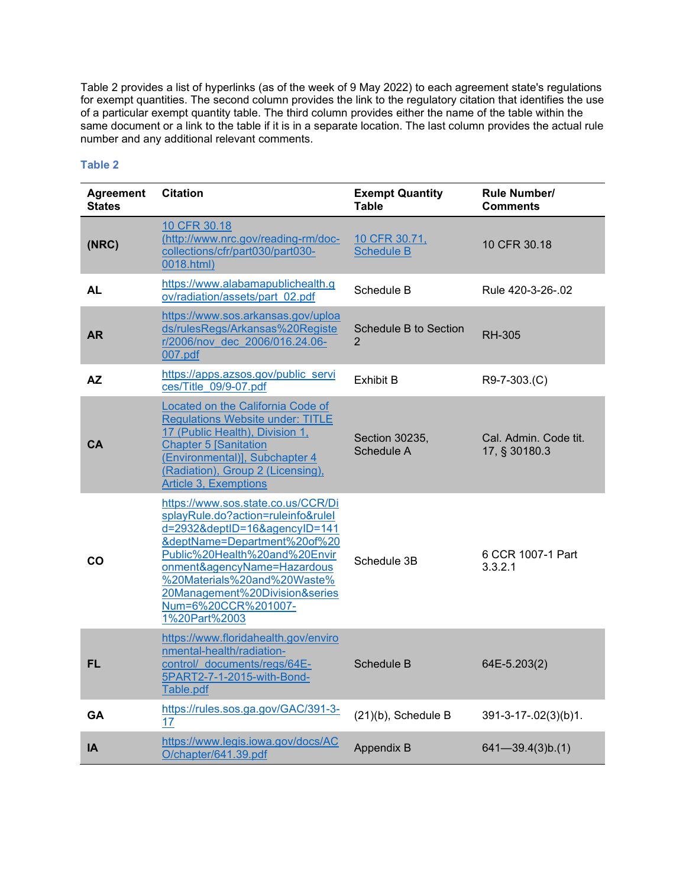Table 2 provides a list of hyperlinks (as of the week of 9 May 2022) to each agreement state's regulations for exempt quantities. The second column provides the link to the regulatory citation that identifies the use of a particular exempt quantity table. The third column provides either the name of the table within the same document or a link to the table if it is in a separate location. The last column provides the actual rule number and any additional relevant comments.

## **Table 2**

| <b>Agreement</b><br><b>States</b> | <b>Citation</b>                                                                                                                                                                                                                                                                                                    | <b>Exempt Quantity</b><br>Table                | <b>Rule Number/</b><br><b>Comments</b> |
|-----------------------------------|--------------------------------------------------------------------------------------------------------------------------------------------------------------------------------------------------------------------------------------------------------------------------------------------------------------------|------------------------------------------------|----------------------------------------|
| (NRC)                             | 10 CFR 30.18<br>(http://www.nrc.gov/reading-rm/doc-<br>collections/cfr/part030/part030-<br>0018.html)                                                                                                                                                                                                              | 10 CFR 30.71,<br><b>Schedule B</b>             | 10 CFR 30.18                           |
| <b>AL</b>                         | https://www.alabamapublichealth.g<br>ov/radiation/assets/part_02.pdf                                                                                                                                                                                                                                               | Schedule B                                     | Rule 420-3-26-.02                      |
| <b>AR</b>                         | https://www.sos.arkansas.gov/uploa<br>ds/rulesRegs/Arkansas%20Registe<br>r/2006/nov dec 2006/016.24.06-<br>007.pdf                                                                                                                                                                                                 | <b>Schedule B to Section</b><br>$\overline{2}$ | <b>RH-305</b>                          |
| <b>AZ</b>                         | https://apps.azsos.gov/public_servi<br>ces/Title 09/9-07.pdf                                                                                                                                                                                                                                                       | <b>Exhibit B</b>                               | R9-7-303.(C)                           |
| CA                                | Located on the California Code of<br><b>Regulations Website under: TITLE</b><br>17 (Public Health), Division 1,<br><b>Chapter 5 Sanitation</b><br>(Environmental)], Subchapter 4<br>(Radiation), Group 2 (Licensing),<br><b>Article 3, Exemptions</b>                                                              | Section 30235,<br>Schedule A                   | Cal. Admin. Code tit.<br>17, § 30180.3 |
| CO                                | https://www.sos.state.co.us/CCR/Di<br>splayRule.do?action=ruleinfo&rulel<br>d=2932&deptID=16&agencyID=141<br>&deptName=Department%20of%20<br>Public%20Health%20and%20Envir<br>onment&agencyName=Hazardous<br>%20Materials%20and%20Waste%<br>20Management%20Division&series<br>Num=6%20CCR%201007-<br>1%20Part%2003 | Schedule 3B                                    | 6 CCR 1007-1 Part<br>3.3.2.1           |
| <b>FL</b>                         | https://www.floridahealth.gov/enviro<br>nmental-health/radiation-<br>control/ documents/regs/64E-<br>5PART2-7-1-2015-with-Bond-<br>Table.pdf                                                                                                                                                                       | Schedule B                                     | 64E-5.203(2)                           |
| <b>GA</b>                         | https://rules.sos.ga.gov/GAC/391-3-<br>17                                                                                                                                                                                                                                                                          | $(21)(b)$ , Schedule B                         | 391-3-17-.02(3)(b)1.                   |
| IA                                | https://www.legis.iowa.gov/docs/AC<br>O/chapter/641.39.pdf                                                                                                                                                                                                                                                         | Appendix B                                     | $641 - 39.4(3)b(1)$                    |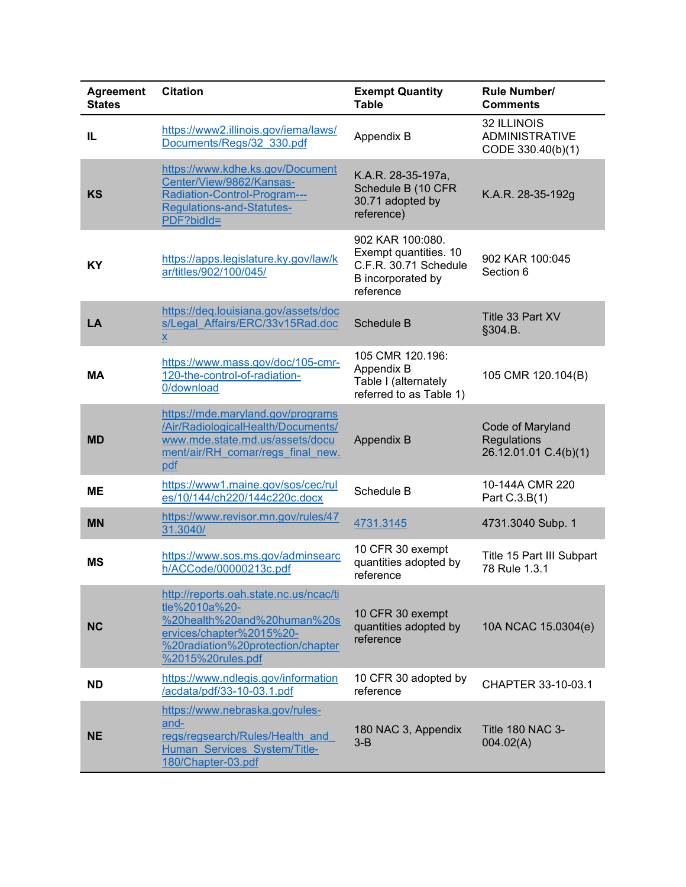| <b>Agreement</b><br><b>States</b> | <b>Citation</b>                                                                                                                                                              | <b>Exempt Quantity</b><br><b>Table</b>                                                               | <b>Rule Number/</b><br><b>Comments</b>                    |
|-----------------------------------|------------------------------------------------------------------------------------------------------------------------------------------------------------------------------|------------------------------------------------------------------------------------------------------|-----------------------------------------------------------|
| IL                                | https://www2.illinois.gov/iema/laws/<br>Documents/Regs/32 330.pdf                                                                                                            | Appendix B                                                                                           | 32 ILLINOIS<br><b>ADMINISTRATIVE</b><br>CODE 330.40(b)(1) |
| <b>KS</b>                         | https://www.kdhe.ks.gov/Document<br>Center/View/9862/Kansas-<br>Radiation-Control-Program---<br><b>Regulations-and-Statutes-</b><br>PDF?bidId=                               | K.A.R. 28-35-197a,<br>Schedule B (10 CFR<br>30.71 adopted by<br>reference)                           | K.A.R. 28-35-192g                                         |
| KY                                | https://apps.legislature.ky.gov/law/k<br>ar/titles/902/100/045/                                                                                                              | 902 KAR 100:080.<br>Exempt quantities. 10<br>C.F.R. 30.71 Schedule<br>B incorporated by<br>reference | 902 KAR 100:045<br>Section 6                              |
| LA                                | https://deq.louisiana.gov/assets/doc<br>s/Legal Affairs/ERC/33v15Rad.doc<br>$\underline{x}$                                                                                  | Schedule B                                                                                           | Title 33 Part XV<br>§304.B.                               |
| МA                                | https://www.mass.gov/doc/105-cmr-<br>120-the-control-of-radiation-<br>0/download                                                                                             | 105 CMR 120.196:<br>Appendix B<br>Table I (alternately<br>referred to as Table 1)                    | 105 CMR 120.104(B)                                        |
| <b>MD</b>                         | https://mde.maryland.gov/programs<br>/Air/RadiologicalHealth/Documents/<br>www.mde.state.md.us/assets/docu<br>ment/air/RH comar/regs final new.<br>pdf                       | <b>Appendix B</b>                                                                                    | Code of Maryland<br>Regulations<br>26.12.01.01 C.4(b)(1)  |
| MЕ                                | https://www1.maine.gov/sos/cec/rul<br>es/10/144/ch220/144c220c.docx                                                                                                          | Schedule B                                                                                           | 10-144A CMR 220<br>Part C.3.B(1)                          |
| <b>MN</b>                         | https://www.revisor.mn.gov/rules/47<br>31.3040/                                                                                                                              | 4731.3145                                                                                            | 4731.3040 Subp. 1                                         |
| <b>MS</b>                         | https://www.sos.ms.gov/adminsearc<br>h/ACCode/00000213c.pdf                                                                                                                  | 10 CFR 30 exempt<br>quantities adopted by<br>reference                                               | Title 15 Part III Subpart<br>78 Rule 1.3.1                |
| <b>NC</b>                         | http://reports.oah.state.nc.us/ncac/ti<br>tle%2010a%20-<br>%20health%20and%20human%20s<br>ervices/chapter%2015%20-<br>%20radiation%20protection/chapter<br>%2015%20rules.pdf | 10 CFR 30 exempt<br>quantities adopted by<br>reference                                               | 10A NCAC 15.0304(e)                                       |
| <b>ND</b>                         | https://www.ndlegis.gov/information<br>/acdata/pdf/33-10-03.1.pdf                                                                                                            | 10 CFR 30 adopted by<br>reference                                                                    | CHAPTER 33-10-03.1                                        |
| <b>NE</b>                         | https://www.nebraska.gov/rules-<br>and-<br>regs/regsearch/Rules/Health and<br>Human Services System/Title-<br>180/Chapter-03.pdf                                             | 180 NAC 3, Appendix<br>$3 - B$                                                                       | <b>Title 180 NAC 3-</b><br>004.02(A)                      |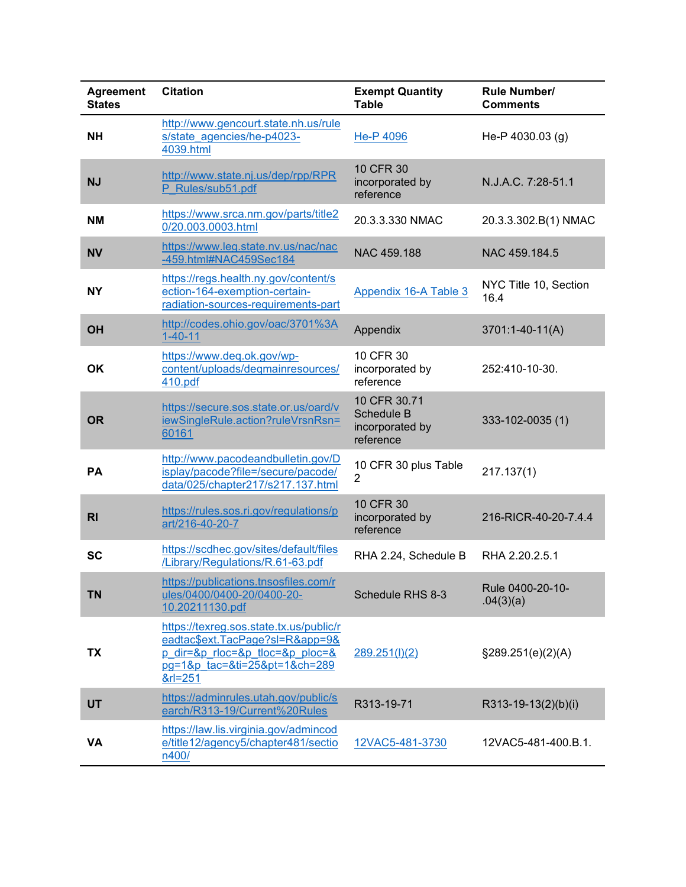| <b>Agreement</b><br><b>States</b> | <b>Citation</b>                                                                                                                                                | <b>Exempt Quantity</b><br><b>Table</b>                            | Rule Number/<br><b>Comments</b> |
|-----------------------------------|----------------------------------------------------------------------------------------------------------------------------------------------------------------|-------------------------------------------------------------------|---------------------------------|
| <b>NH</b>                         | http://www.gencourt.state.nh.us/rule<br>s/state agencies/he-p4023-<br>4039.html                                                                                | He-P 4096                                                         | He-P 4030.03 (g)                |
| <b>NJ</b>                         | http://www.state.nj.us/dep/rpp/RPR<br>P Rules/sub51.pdf                                                                                                        | 10 CFR 30<br>incorporated by<br>reference                         | N.J.A.C. 7:28-51.1              |
| <b>NM</b>                         | https://www.srca.nm.gov/parts/title2<br>0/20.003.0003.html                                                                                                     | 20.3.3.330 NMAC                                                   | 20.3.3.302.B(1) NMAC            |
| <b>NV</b>                         | https://www.leg.state.nv.us/nac/nac<br>-459.html#NAC459Sec184                                                                                                  | NAC 459.188                                                       | NAC 459.184.5                   |
| <b>NY</b>                         | https://regs.health.ny.gov/content/s<br>ection-164-exemption-certain-<br>radiation-sources-requirements-part                                                   | Appendix 16-A Table 3                                             | NYC Title 10, Section<br>16.4   |
| OH                                | http://codes.ohio.gov/oac/3701%3A<br>$1 - 40 - 11$                                                                                                             | Appendix                                                          | 3701:1-40-11(A)                 |
| <b>OK</b>                         | https://www.deq.ok.gov/wp-<br>content/uploads/deqmainresources/<br>410.pdf                                                                                     | 10 CFR 30<br>incorporated by<br>reference                         | 252:410-10-30.                  |
| <b>OR</b>                         | https://secure.sos.state.or.us/oard/v<br>iewSingleRule.action?ruleVrsnRsn=<br>60161                                                                            | 10 CFR 30.71<br><b>Schedule B</b><br>incorporated by<br>reference | 333-102-0035 (1)                |
| <b>PA</b>                         | http://www.pacodeandbulletin.gov/D<br>isplay/pacode?file=/secure/pacode/<br>data/025/chapter217/s217.137.html                                                  | 10 CFR 30 plus Table<br>$\overline{2}$                            | 217.137(1)                      |
| R <sub>l</sub>                    | https://rules.sos.ri.gov/regulations/p<br>art/216-40-20-7                                                                                                      | 10 CFR 30<br>incorporated by<br>reference                         | 216-RICR-40-20-7.4.4            |
| <b>SC</b>                         | https://scdhec.gov/sites/default/files<br>/Library/Regulations/R.61-63.pdf                                                                                     | RHA 2.24, Schedule B                                              | RHA 2.20.2.5.1                  |
| <b>TN</b>                         | https://publications.tnsosfiles.com/r<br>ules/0400/0400-20/0400-20-<br>10.20211130.pdf                                                                         | Schedule RHS 8-3                                                  | Rule 0400-20-10-<br>.04(3)(a)   |
| TX                                | https://texreq.sos.state.tx.us/public/r<br>eadtac\$ext.TacPage?sl=R&app=9&<br>$p$ dir=&p rloc=&p tloc=&p ploc=&<br>pg=1&p tac=&ti=25&pt=1&ch=289<br>$&r = 251$ | 289.251(l)(2)                                                     | $\S$ 289.251(e)(2)(A)           |
| <b>UT</b>                         | https://adminrules.utah.gov/public/s<br>earch/R313-19/Current%20Rules                                                                                          | R313-19-71                                                        | R313-19-13(2)(b)(i)             |
| <b>VA</b>                         | https://law.lis.virginia.gov/admincod<br>e/title12/agency5/chapter481/sectio<br>n400/                                                                          | 12VAC5-481-3730                                                   | 12VAC5-481-400.B.1.             |